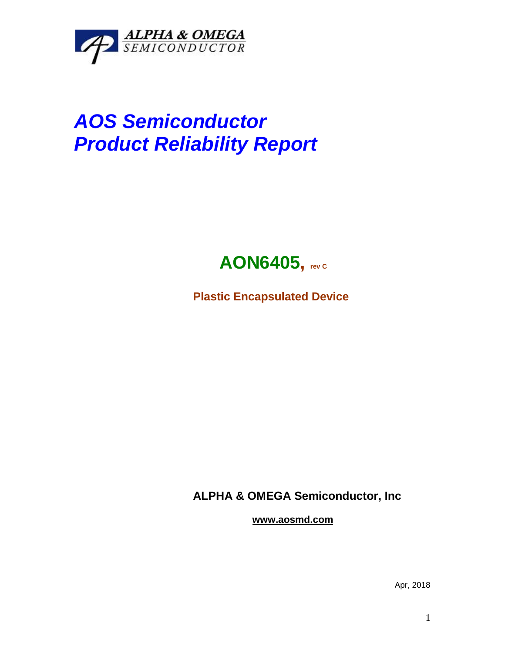

## *AOS Semiconductor Product Reliability Report*



**Plastic Encapsulated Device**

**ALPHA & OMEGA Semiconductor, Inc**

**www.aosmd.com**

Apr, 2018